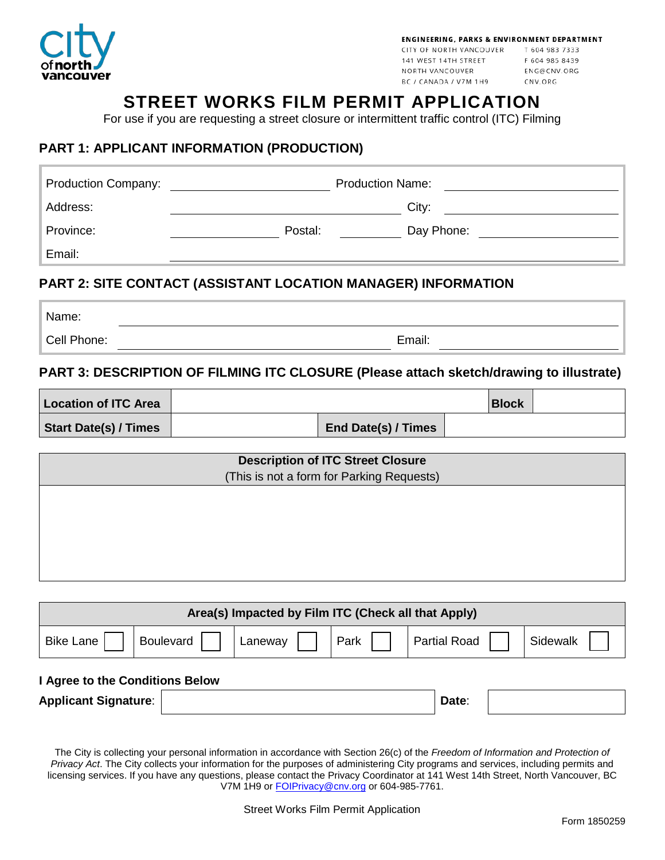

CITY OF NORTH VANCOUVER T 604 983 7333 141 WEST 14TH STREET NORTH VANCOUVER BC / CANADA / V7M 1H9

F 604 985 8439 ENG@CNV.ORG CNV.ORG

# **STREET WORKS FILM PERMIT APPLICATION**

For use if you are requesting a street closure or intermittent traffic control (ITC) Filming

## **PART 1: APPLICANT INFORMATION (PRODUCTION)**

| <b>Production Company:</b>                                    |         | <b>Production Name:</b> |  |
|---------------------------------------------------------------|---------|-------------------------|--|
| Address:                                                      |         | City:                   |  |
| Province:                                                     | Postal: | Day Phone:              |  |
| Email:                                                        |         |                         |  |
| PART 2: SITE CONTACT (ASSISTANT LOCATION MANAGER) INFORMATION |         |                         |  |

### **PART 2: SITE CONTACT (ASSISTANT LOCATION MANAGER) INFORMATION**

| Name:       |        |
|-------------|--------|
| Cell Phone: | Email: |

### **PART 3: DESCRIPTION OF FILMING ITC CLOSURE (Please attach sketch/drawing to illustrate)**

| <b>Location of ITC Area</b>  |                     | <b>Block</b> |  |
|------------------------------|---------------------|--------------|--|
| <b>Start Date(s) / Times</b> | End Date(s) / Times |              |  |

| <b>Description of ITC Street Closure</b><br>(This is not a form for Parking Requests) |  |  |  |
|---------------------------------------------------------------------------------------|--|--|--|
|                                                                                       |  |  |  |
|                                                                                       |  |  |  |
|                                                                                       |  |  |  |

| Area(s) Impacted by Film ITC (Check all that Apply) |                  |         |      |                     |  |          |
|-----------------------------------------------------|------------------|---------|------|---------------------|--|----------|
| <b>Bike Lane</b>                                    | <b>Boulevard</b> | Laneway | Park | <b>Partial Road</b> |  | Sidewalk |
| I Agree to the Conditions Below                     |                  |         |      |                     |  |          |
| <b>Applicant Signature:</b>                         |                  |         |      | Date:               |  |          |

The City is collecting your personal information in accordance with Section 26(c) of the *Freedom of Information and Protection of Privacy Act*. The City collects your information for the purposes of administering City programs and services, including permits and licensing services. If you have any questions, please contact the Privacy Coordinator at 141 West 14th Street, North Vancouver, BC V7M 1H9 or **FOIPrivacy@cnv.org** or 604-985-7761.